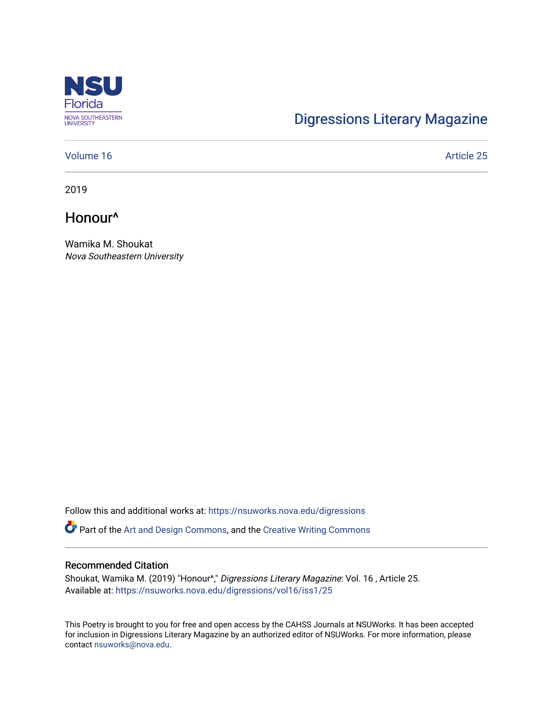

# [Digressions Literary Magazine](https://nsuworks.nova.edu/digressions)

### [Volume 16](https://nsuworks.nova.edu/digressions/vol16) Article 25

2019

Honour^

Wamika M. Shoukat Nova Southeastern University

Follow this and additional works at: [https://nsuworks.nova.edu/digressions](https://nsuworks.nova.edu/digressions?utm_source=nsuworks.nova.edu%2Fdigressions%2Fvol16%2Fiss1%2F25&utm_medium=PDF&utm_campaign=PDFCoverPages) 

Part of the [Art and Design Commons](http://network.bepress.com/hgg/discipline/1049?utm_source=nsuworks.nova.edu%2Fdigressions%2Fvol16%2Fiss1%2F25&utm_medium=PDF&utm_campaign=PDFCoverPages), and the [Creative Writing Commons](http://network.bepress.com/hgg/discipline/574?utm_source=nsuworks.nova.edu%2Fdigressions%2Fvol16%2Fiss1%2F25&utm_medium=PDF&utm_campaign=PDFCoverPages)

### Recommended Citation

Shoukat, Wamika M. (2019) "Honour^," Digressions Literary Magazine: Vol. 16 , Article 25. Available at: [https://nsuworks.nova.edu/digressions/vol16/iss1/25](https://nsuworks.nova.edu/digressions/vol16/iss1/25?utm_source=nsuworks.nova.edu%2Fdigressions%2Fvol16%2Fiss1%2F25&utm_medium=PDF&utm_campaign=PDFCoverPages)

This Poetry is brought to you for free and open access by the CAHSS Journals at NSUWorks. It has been accepted for inclusion in Digressions Literary Magazine by an authorized editor of NSUWorks. For more information, please contact [nsuworks@nova.edu.](mailto:nsuworks@nova.edu)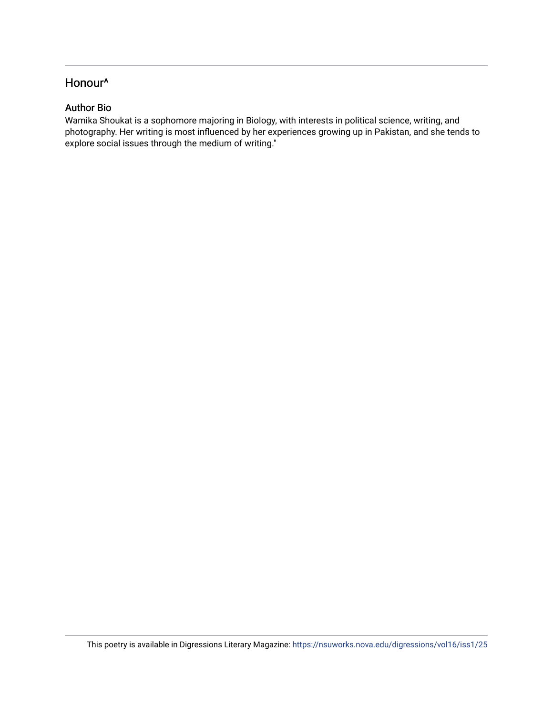# Honour^

## Author Bio

Wamika Shoukat is a sophomore majoring in Biology, with interests in political science, writing, and photography. Her writing is most influenced by her experiences growing up in Pakistan, and she tends to explore social issues through the medium of writing."